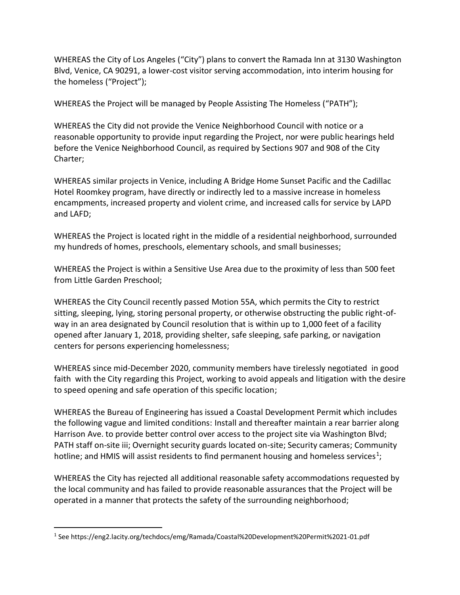WHEREAS the City of Los Angeles ("City") plans to convert the Ramada Inn at 3130 Washington Blvd, Venice, CA 90291, a lower-cost visitor serving accommodation, into interim housing for the homeless ("Project");

WHEREAS the Project will be managed by People Assisting The Homeless ("PATH");

WHEREAS the City did not provide the Venice Neighborhood Council with notice or a reasonable opportunity to provide input regarding the Project, nor were public hearings held before the Venice Neighborhood Council, as required by Sections 907 and 908 of the City Charter;

WHEREAS similar projects in Venice, including A Bridge Home Sunset Pacific and the Cadillac Hotel Roomkey program, have directly or indirectly led to a massive increase in homeless encampments, increased property and violent crime, and increased calls for service by LAPD and LAFD;

WHEREAS the Project is located right in the middle of a residential neighborhood, surrounded my hundreds of homes, preschools, elementary schools, and small businesses;

WHEREAS the Project is within a Sensitive Use Area due to the proximity of less than 500 feet from Little Garden Preschool;

WHEREAS the City Council recently passed Motion 55A, which permits the City to restrict sitting, sleeping, lying, storing personal property, or otherwise obstructing the public right-ofway in an area designated by Council resolution that is within up to 1,000 feet of a facility opened after January 1, 2018, providing shelter, safe sleeping, safe parking, or navigation centers for persons experiencing homelessness;

WHEREAS since mid-December 2020, community members have tirelessly negotiated in good faith with the City regarding this Project, working to avoid appeals and litigation with the desire to speed opening and safe operation of this specific location;

WHEREAS the Bureau of Engineering has issued a Coastal Development Permit which includes the following vague and limited conditions: Install and thereafter maintain a rear barrier along Harrison Ave. to provide better control over access to the project site via Washington Blvd; PATH staff on-site iii; Overnight security guards located on-site; Security cameras; Community hotline; and HMIS will assist residents to find permanent housing and homeless services<sup>1</sup>;

WHEREAS the City has rejected all additional reasonable safety accommodations requested by the local community and has failed to provide reasonable assurances that the Project will be operated in a manner that protects the safety of the surrounding neighborhood;

<sup>1</sup> See https://eng2.lacity.org/techdocs/emg/Ramada/Coastal%20Development%20Permit%2021-01.pdf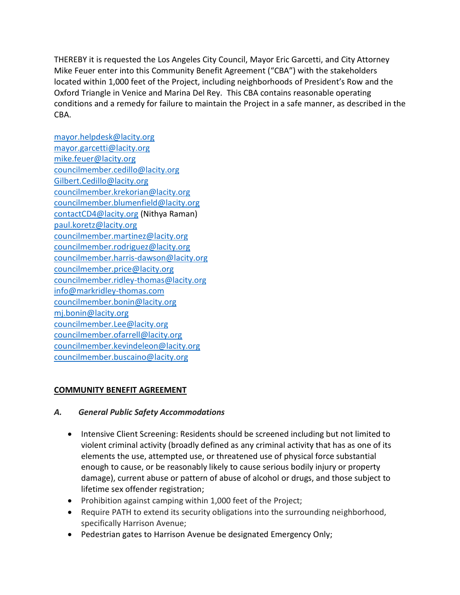THEREBY it is requested the Los Angeles City Council, Mayor Eric Garcetti, and City Attorney Mike Feuer enter into this Community Benefit Agreement ("CBA") with the stakeholders located within 1,000 feet of the Project, including neighborhoods of President's Row and the Oxford Triangle in Venice and Marina Del Rey. This CBA contains reasonable operating conditions and a remedy for failure to maintain the Project in a safe manner, as described in the CBA.

[mayor.helpdesk@lacity.org](mailto:mayor.helpdesk@lacity.org) [mayor.garcetti@lacity.org](mailto:mayor.garcetti@lacity.org) [mike.feuer@lacity.org](mailto:mike.feuer@lacity.org) [councilmember.cedillo@lacity.org](mailto:councilmember.cedillo@lacity.org) [Gilbert.Cedillo@lacity.org](mailto:Gilbert.Cedillo@lacity.org) [councilmember.krekorian@lacity.org](mailto:councilmember.krekorian@lacity.org) [councilmember.blumenfield@lacity.org](mailto:councilmember.blumenfield@lacity.org) [contactCD4@lacity.org](mailto:contactCD4@lacity.org) (Nithya Raman) [paul.koretz@lacity.org](mailto:paul.koretz@lacity.org) [councilmember.martinez@lacity.org](mailto:councilmember.martinez@lacity.org) [councilmember.rodriguez@lacity.org](mailto:councilmember.rodriguez@lacity.org) [councilmember.harris-dawson@lacity.org](mailto:councilmember.harris-dawson@lacity.org) [councilmember.price@lacity.org](mailto:councilmember.price@lacity.org) [councilmember.ridley-thomas@lacity.org](mailto:councilmember.ridley-thomas@lacity.org) [info@markridley-thomas.com](mailto:info@markridley-thomas.com) [councilmember.bonin@lacity.org](mailto:councilmember.bonin@lacity.org) [mj.bonin@lacity.org](mailto:mj.bonin@lacity.org) [councilmember.Lee@lacity.org](mailto:councilmember.Lee@lacity.org) [councilmember.ofarrell@lacity.org](mailto:councilmember.ofarrell@lacity.org) [councilmember.kevindeleon@lacity.org](mailto:councilmember.kevindeleon@lacity.org) [councilmember.buscaino@lacity.org](mailto:councilmember.buscaino@lacity.org)

### **COMMUNITY BENEFIT AGREEMENT**

### *A. General Public Safety Accommodations*

- Intensive Client Screening: Residents should be screened including but not limited to violent criminal activity (broadly defined as any criminal activity that has as one of its elements the use, attempted use, or threatened use of physical force substantial enough to cause, or be reasonably likely to cause serious bodily injury or property damage), current abuse or pattern of abuse of alcohol or drugs, and those subject to lifetime sex offender registration;
- Prohibition against camping within 1,000 feet of the Project;
- Require PATH to extend its security obligations into the surrounding neighborhood, specifically Harrison Avenue;
- Pedestrian gates to Harrison Avenue be designated Emergency Only;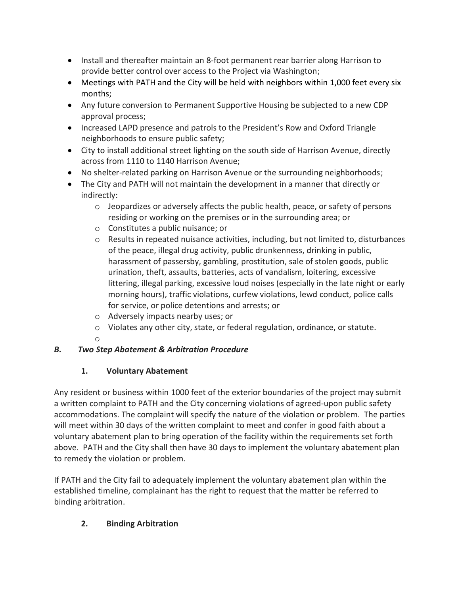- Install and thereafter maintain an 8-foot permanent rear barrier along Harrison to provide better control over access to the Project via Washington;
- Meetings with PATH and the City will be held with neighbors within 1,000 feet every six months;
- Any future conversion to Permanent Supportive Housing be subjected to a new CDP approval process;
- Increased LAPD presence and patrols to the President's Row and Oxford Triangle neighborhoods to ensure public safety;
- City to install additional street lighting on the south side of Harrison Avenue, directly across from 1110 to 1140 Harrison Avenue;
- No shelter-related parking on Harrison Avenue or the surrounding neighborhoods;
- The City and PATH will not maintain the development in a manner that directly or indirectly:
	- o Jeopardizes or adversely affects the public health, peace, or safety of persons residing or working on the premises or in the surrounding area; or
	- o Constitutes a public nuisance; or
	- $\circ$  Results in repeated nuisance activities, including, but not limited to, disturbances of the peace, illegal drug activity, public drunkenness, drinking in public, harassment of passersby, gambling, prostitution, sale of stolen goods, public urination, theft, assaults, batteries, acts of vandalism, loitering, excessive littering, illegal parking, excessive loud noises (especially in the late night or early morning hours), traffic violations, curfew violations, lewd conduct, police calls for service, or police detentions and arrests; or
	- o Adversely impacts nearby uses; or
	- o Violates any other city, state, or federal regulation, ordinance, or statute.
	- o

## *B. Two Step Abatement & Arbitration Procedure*

## **1. Voluntary Abatement**

Any resident or business within 1000 feet of the exterior boundaries of the project may submit a written complaint to PATH and the City concerning violations of agreed-upon public safety accommodations. The complaint will specify the nature of the violation or problem. The parties will meet within 30 days of the written complaint to meet and confer in good faith about a voluntary abatement plan to bring operation of the facility within the requirements set forth above. PATH and the City shall then have 30 days to implement the voluntary abatement plan to remedy the violation or problem.

If PATH and the City fail to adequately implement the voluntary abatement plan within the established timeline, complainant has the right to request that the matter be referred to binding arbitration.

# **2. Binding Arbitration**